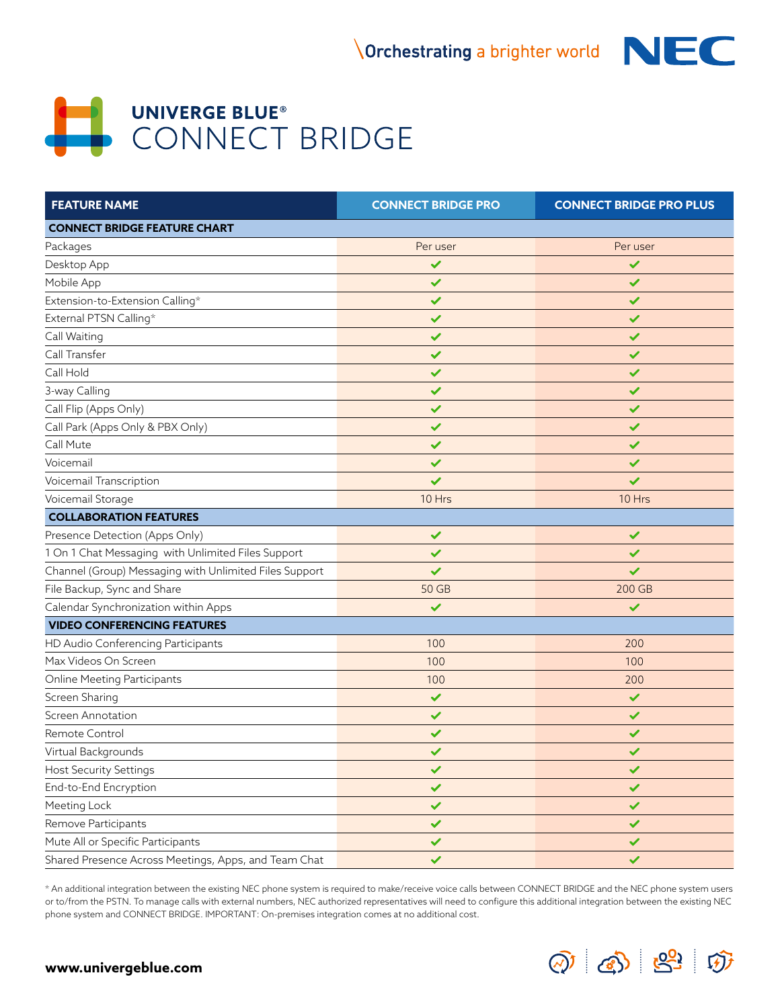

## **UNIVERGE BLUE® CONNECT BRIDGE**

| <b>FEATURE NAME</b>                                    | <b>CONNECT BRIDGE PRO</b> | <b>CONNECT BRIDGE PRO PLUS</b> |
|--------------------------------------------------------|---------------------------|--------------------------------|
| <b>CONNECT BRIDGE FEATURE CHART</b>                    |                           |                                |
| Packages                                               | Per user                  | Per user                       |
| Desktop App                                            | ✔                         | ✓                              |
| Mobile App                                             | ✔                         | ✔                              |
| Extension-to-Extension Calling*                        | $\checkmark$              | $\checkmark$                   |
| External PTSN Calling*                                 | $\checkmark$              | $\checkmark$                   |
| Call Waiting                                           | ✔                         | $\checkmark$                   |
| Call Transfer                                          | $\checkmark$              | $\checkmark$                   |
| Call Hold                                              | ✔                         | $\checkmark$                   |
| 3-way Calling                                          | ✔                         | $\checkmark$                   |
| Call Flip (Apps Only)                                  | $\checkmark$              | $\checkmark$                   |
| Call Park (Apps Only & PBX Only)                       | $\checkmark$              | $\checkmark$                   |
| Call Mute                                              | ✔                         | $\checkmark$                   |
| Voicemail                                              | ✔                         | ✔                              |
| Voicemail Transcription                                | ✓                         | ✔                              |
| Voicemail Storage                                      | 10 Hrs                    | 10 Hrs                         |
| <b>COLLABORATION FEATURES</b>                          |                           |                                |
| Presence Detection (Apps Only)                         | $\checkmark$              | $\checkmark$                   |
| 1 On 1 Chat Messaging with Unlimited Files Support     | ✔                         | ✔                              |
| Channel (Group) Messaging with Unlimited Files Support | ✓                         | ✔                              |
| File Backup, Sync and Share                            | 50 GB                     | 200 GB                         |
| Calendar Synchronization within Apps                   | ✔                         | $\checkmark$                   |
| <b>VIDEO CONFERENCING FEATURES</b>                     |                           |                                |
| HD Audio Conferencing Participants                     | 100                       | 200                            |
| Max Videos On Screen                                   | 100                       | 100                            |
| Online Meeting Participants                            | 100                       | 200                            |
| Screen Sharing                                         | $\checkmark$              | $\checkmark$                   |
| Screen Annotation                                      | $\checkmark$              | $\checkmark$                   |
| Remote Control                                         | ✔                         | ✔                              |
| Virtual Backgrounds                                    | $\checkmark$              | $\checkmark$                   |
| <b>Host Security Settings</b>                          | ✓                         | ✔                              |
| End-to-End Encryption                                  | $\checkmark$              | $\checkmark$                   |
| Meeting Lock                                           | $\checkmark$              | $\checkmark$                   |
| Remove Participants                                    | $\checkmark$              | ✓                              |
| Mute All or Specific Participants                      | ✓                         | ✓                              |
| Shared Presence Across Meetings, Apps, and Team Chat   | $\checkmark$              | $\checkmark$                   |

\* An additional integration between the existing NEC phone system is required to make/receive voice calls between CONNECT BRIDGE and the NEC phone system users or to/from the PSTN. To manage calls with external numbers, NEC authorized representatives will need to configure this additional integration between the existing NEC phone system and CONNECT BRIDGE. IMPORTANT: On-premises integration comes at no additional cost.